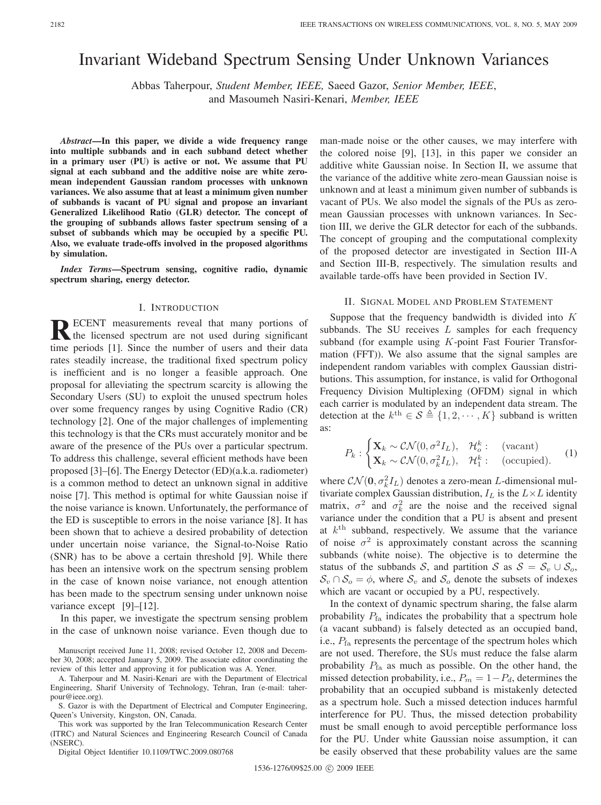# Invariant Wideband Spectrum Sensing Under Unknown Variances

Abbas Taherpour, *Student Member, IEEE,* Saeed Gazor, *Senior Member, IEEE*, and Masoumeh Nasiri-Kenari, *Member, IEEE*

*Abstract***—In this paper, we divide a wide frequency range into multiple subbands and in each subband detect whether in a primary user (PU) is active or not. We assume that PU signal at each subband and the additive noise are white zeromean independent Gaussian random processes with unknown variances. We also assume that at least a minimum given number of subbands is vacant of PU signal and propose an invariant Generalized Likelihood Ratio (GLR) detector. The concept of the grouping of subbands allows faster spectrum sensing of a subset of subbands which may be occupied by a specific PU. Also, we evaluate trade-offs involved in the proposed algorithms by simulation.**

*Index Terms***—Spectrum sensing, cognitive radio, dynamic spectrum sharing, energy detector.**

#### I. INTRODUCTION

RECENT measurements reveal that many portions of the licensed spectrum are not used during significant time periods [1]. Since the number of users and their data rates steadily increase, the traditional fixed spectrum policy is inefficient and is no longer a feasible approach. One proposal for alleviating the spectrum scarcity is allowing the Secondary Users (SU) to exploit the unused spectrum holes over some frequency ranges by using Cognitive Radio (CR) technology [2]. One of the major challenges of implementing this technology is that the CRs must accurately monitor and be aware of the presence of the PUs over a particular spectrum. To address this challenge, several efficient methods have been proposed [3]–[6]. The Energy Detector (ED)(a.k.a. radiometer) is a common method to detect an unknown signal in additive noise [7]. This method is optimal for white Gaussian noise if the noise variance is known. Unfortunately, the performance of the ED is susceptible to errors in the noise variance [8]. It has been shown that to achieve a desired probability of detection under uncertain noise variance, the Signal-to-Noise Ratio (SNR) has to be above a certain threshold [9]. While there has been an intensive work on the spectrum sensing problem in the case of known noise variance, not enough attention has been made to the spectrum sensing under unknown noise variance except [9]–[12].

In this paper, we investigate the spectrum sensing problem in the case of unknown noise variance. Even though due to

Manuscript received June 11, 2008; revised October 12, 2008 and December 30, 2008; accepted January 5, 2009. The associate editor coordinating the review of this letter and approving it for publication was A. Yener.

A. Taherpour and M. Nasiri-Kenari are with the Department of Electrical Engineering, Sharif University of Technology, Tehran, Iran (e-mail: taherpour@ieee.org).

S. Gazor is with the Department of Electrical and Computer Engineering, Queen's University, Kingston, ON, Canada.

This work was supported by the Iran Telecommunication Research Center (ITRC) and Natural Sciences and Engineering Research Council of Canada (NSERC).

Digital Object Identifier 10.1109/TWC.2009.080768

man-made noise or the other causes, we may interfere with the colored noise [9], [13], in this paper we consider an additive white Gaussian noise. In Section II, we assume that the variance of the additive white zero-mean Gaussian noise is unknown and at least a minimum given number of subbands is vacant of PUs. We also model the signals of the PUs as zeromean Gaussian processes with unknown variances. In Section III, we derive the GLR detector for each of the subbands. The concept of grouping and the computational complexity of the proposed detector are investigated in Section III-A and Section III-B, respectively. The simulation results and available tarde-offs have been provided in Section IV.

#### II. SIGNAL MODEL AND PROBLEM STATEMENT

Suppose that the frequency bandwidth is divided into  $K$ subbands. The SU receives  $L$  samples for each frequency subband (for example using K-point Fast Fourier Transformation (FFT)). We also assume that the signal samples are independent random variables with complex Gaussian distributions. This assumption, for instance, is valid for Orthogonal Frequency Division Multiplexing (OFDM) signal in which each carrier is modulated by an independent data stream. The detection at the  $k^{\text{th}} \in \mathcal{S} \triangleq \{1, 2, \cdots, K\}$  subband is written as:

$$
P_k: \begin{cases} \mathbf{X}_k \sim \mathcal{CN}(0, \sigma^2 I_L), & \mathcal{H}_o^k: \quad \text{(vacant)}\\ \mathbf{X}_k \sim \mathcal{CN}(0, \sigma_k^2 I_L), & \mathcal{H}_1^k: \quad \text{(occupied)}. \end{cases} \tag{1}
$$

where  $\mathcal{CN}(\mathbf{0}, \sigma_k^2 I_L)$  denotes a zero-mean *L*-dimensional multivariate complex Gaussian distribution,  $I_L$  is the  $L \times L$  identity matrix,  $\sigma^2$  and  $\sigma_k^2$  are the noise and the received signal variance under the condition that a PU is absent and present at  $k<sup>th</sup>$  subband, respectively. We assume that the variance of noise  $\sigma^2$  is approximately constant across the scanning subbands (white noise). The objective is to determine the status of the subbands S, and partition S as  $S = S_v \cup S_o$ ,  $S_v \cap S_o = \phi$ , where  $S_v$  and  $S_o$  denote the subsets of indexes which are vacant or occupied by a PU, respectively.

In the context of dynamic spectrum sharing, the false alarm probability  $P_{fa}$  indicates the probability that a spectrum hole (a vacant subband) is falsely detected as an occupied band, i.e.,  $P_{fa}$  represents the percentage of the spectrum holes which are not used. Therefore, the SUs must reduce the false alarm probability  $P_{fa}$  as much as possible. On the other hand, the missed detection probability, i.e.,  $P_m = 1 - P_d$ , determines the probability that an occupied subband is mistakenly detected as a spectrum hole. Such a missed detection induces harmful interference for PU. Thus, the missed detection probability must be small enough to avoid perceptible performance loss for the PU. Under white Gaussian noise assumption, it can be easily observed that these probability values are the same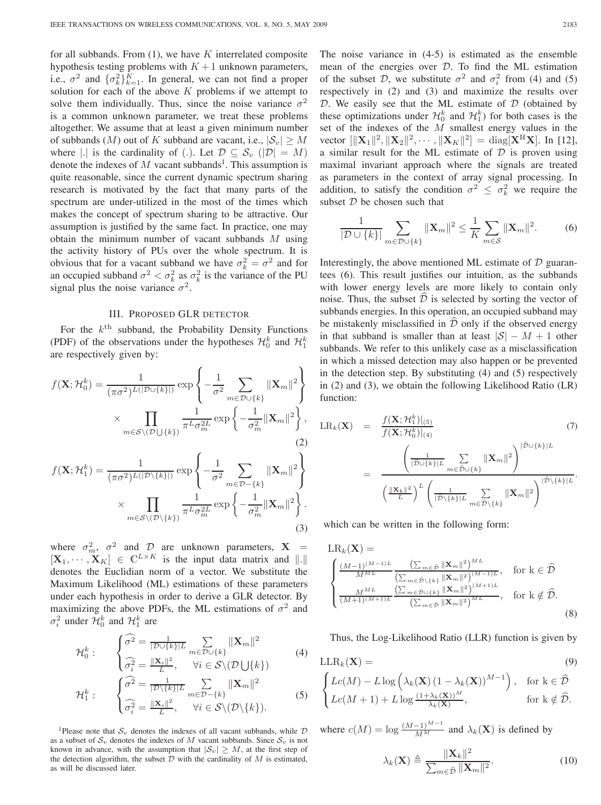for all subbands. From  $(1)$ , we have K interrelated composite hypothesis testing problems with  $K + 1$  unknown parameters, i.e.,  $\sigma^2$  and  $\{\sigma_k^2\}_{k=1}^K$ . In general, we can not find a proper solution for each of the above  $K$  problems if we attempt to solve them individually. Thus, since the noise variance  $\sigma^2$ is a common unknown parameter, we treat these problems altogether. We assume that at least a given minimum number of subbands (M) out of K subband are vacant, i.e.,  $|S_v| \ge M$ where |.| is the cardinality of (.). Let  $\mathcal{D} \subseteq \mathcal{S}_v$  ( $|\mathcal{D}| = M$ ) denote the indexes of  $M$  vacant subbands<sup>1</sup>. This assumption is quite reasonable, since the current dynamic spectrum sharing research is motivated by the fact that many parts of the spectrum are under-utilized in the most of the times which makes the concept of spectrum sharing to be attractive. Our assumption is justified by the same fact. In practice, one may obtain the minimum number of vacant subbands  $M$  using the activity history of PUs over the whole spectrum. It is obvious that for a vacant subband we have  $\sigma_k^2 = \sigma^2$  and for an occupied subband  $\sigma^2 < \sigma_k^2$  as  $\sigma_k^2$  is the variance of the PU signal plus the noise variance  $\sigma^2$ .

# III. PROPOSED GLR DETECTOR

For the  $k<sup>th</sup>$  subband, the Probability Density Functions (PDF) of the observations under the hypotheses  $\mathcal{H}_0^k$  and  $\mathcal{H}_1^k$ are respectively given by:

$$
f(\mathbf{X}; \mathcal{H}_0^k) = \frac{1}{(\pi \sigma^2)^{L(|\mathcal{D} \cup \{k\}|)}} \exp \left\{ -\frac{1}{\sigma^2} \sum_{m \in \mathcal{D} \cup \{k\}} ||\mathbf{X}_m||^2 \right\}
$$

$$
\times \prod_{m \in \mathcal{S} \setminus (\mathcal{D} \cup \{k\})} \frac{1}{\pi^L \sigma_m^{2L}} \exp \left\{ -\frac{1}{\sigma_m^2} ||\mathbf{X}_m||^2 \right\},
$$
(2)

$$
f(\mathbf{X}; \mathcal{H}_1^k) = \frac{1}{(\pi \sigma^2)^{L(|\mathcal{D}\backslash\{k\}|)}} \exp\left\{-\frac{1}{\sigma^2} \sum_{m \in \mathcal{D} - \{k\}} \|\mathbf{X}_m\|^2\right\}
$$

$$
\times \prod_{m \in \mathcal{S}\backslash(\mathcal{D}\backslash\{k\})} \frac{1}{\pi^L \sigma_m^{2L}} \exp\left\{-\frac{1}{\sigma_m^2} \|\mathbf{X}_m\|^2\right\}.
$$
(3)

where  $\sigma_m^2$ ,  $\sigma^2$  and D are unknown parameters, **X** =  $[\mathbf{X}_1, \cdots, \mathbf{X}_K] \in \mathbb{C}^{L \times K}$  is the input data matrix and  $\|\cdot\|$ denotes the Euclidian norm of a vector. We substitute the Maximum Likelihood (ML) estimations of these parameters under each hypothesis in order to derive a GLR detector. By maximizing the above PDFs, the ML estimations of  $\sigma^2$  and  $\sigma_i^2$  under  $\mathcal{H}_0^k$  and  $\mathcal{H}_1^k$  are

$$
\mathcal{H}_0^k: \qquad \begin{cases} \widehat{\sigma^2} = \frac{1}{|\mathcal{D} \cup \{k\}|L} \sum_{m \in \mathcal{D} \cup \{k\}} ||\mathbf{X}_m||^2\\ \widehat{\sigma_i^2} = \frac{||\mathbf{X}_i||^2}{L}, \qquad \forall i \in \mathcal{S} \setminus (\mathcal{D} \cup \{k\}) \end{cases} \tag{4}
$$

$$
\mathcal{H}_1^k: \qquad \begin{cases} \widehat{\sigma^2} = \frac{1}{|\mathcal{D}\setminus\{k\}|L} \sum_{m \in \mathcal{D} - \{k\}} ||\mathbf{X}_m||^2\\ \widehat{\sigma_i^2} = \frac{||\mathbf{X}_i||^2}{L}, \qquad \forall i \in \mathcal{S}\setminus(\mathcal{D}\setminus\{k\}). \end{cases} \tag{5}
$$

<sup>1</sup>Please note that  $S_v$  denotes the indexes of all vacant subbands, while  $D$ as a subset of  $S_v$  denotes the indexes of M vacant subbands. Since  $S_v$  is not known in advance, with the assumption that  $|S_v| \geq M$ , at the first step of the detection algorithm, the subset  $D$  with the cardinality of  $M$  is estimated, as will be discussed later.

The noise variance in (4-5) is estimated as the ensemble mean of the energies over D. To find the ML estimation of the subset D, we substitute  $\sigma^2$  and  $\sigma_i^2$  from (4) and (5) respectively in (2) and (3) and maximize the results over  $D$ . We easily see that the ML estimate of  $D$  (obtained by these optimizations under  $\mathcal{H}_0^k$  and  $\mathcal{H}_1^k$ ) for both cases is the set of the indexes of the  $M$  smallest energy values in the vector  $\|\mathbf{X}_1\|^2, \|\mathbf{X}_2\|^2, \cdots, \|\mathbf{X}_K\|^2] = \text{diag}[\mathbf{X}^H\mathbf{X}]$ . In [12], a similar result for the ML estimate of  $D$  is proven using maximal invariant approach where the signals are treated as parameters in the context of array signal processing. In addition, to satisfy the condition  $\sigma^2 \leq \sigma_k^2$  we require the subset  $D$  be chosen such that

$$
\frac{1}{|\mathcal{D} \cup \{k\}|} \sum_{m \in \mathcal{D} \cup \{k\}} ||\mathbf{X}_m||^2 \le \frac{1}{K} \sum_{m \in \mathcal{S}} ||\mathbf{X}_m||^2. \tag{6}
$$

Interestingly, the above mentioned ML estimate of  $D$  guarantees (6). This result justifies our intuition, as the subbands with lower energy levels are more likely to contain only noise. Thus, the subset  $\widehat{\mathcal{D}}$  is selected by sorting the vector of subbands energies. In this operation, an occupied subband may be mistakenly misclassified in  $\overline{\mathcal{D}}$  only if the observed energy in that subband is smaller than at least  $|S| - M + 1$  other subbands. We refer to this unlikely case as a misclassification in which a missed detection may also happen or be prevented in the detection step. By substituting (4) and (5) respectively in (2) and (3), we obtain the following Likelihood Ratio (LR) function:

$$
LR_k(\mathbf{X}) = \frac{f(\mathbf{X}; \mathcal{H}_0^k)|_{(5)}}{f(\mathbf{X}; \mathcal{H}_0^k)|_{(4)}} \qquad (7)
$$
  

$$
= \frac{\left(\frac{1}{|\mathcal{D}\cup\{k\}|L}\sum_{m \in \mathcal{D}\cup\{k\}} \|\mathbf{X}_m\|^2\right)^{|\mathcal{D}\cup\{k\}|L}}{\left(\frac{\|\mathbf{X}_k\|^2}{L}\right)^L \left(\frac{1}{|\mathcal{D}\setminus\{k\}|L}\sum_{m \in \mathcal{D}\setminus\{k\}} \|\mathbf{X}_m\|^2\right)^{|\mathcal{D}\setminus\{k\}|L}}.
$$

which can be written in the following form:

$$
LR_k(\mathbf{X}) = \begin{cases} \frac{(M-1)^{(M-1)L}}{M^{ML}} \frac{\left(\sum_{m \in \hat{\mathcal{D}}} ||\mathbf{X}_m||^2\right)^{ML}}{\left(\sum_{m \in \hat{\mathcal{D}} \setminus \{k\}} ||\mathbf{X}_m||^2\right)^{(M-1)L}}, & \text{for } k \in \hat{\mathcal{D}}\\ \frac{M^{ML}}{(M+1)^{(M+1)L}} \frac{\left(\sum_{m \in \hat{\mathcal{D}} \cup \{k\}} ||\mathbf{X}_m||^2\right)^{(M+1)L}}{\left(\sum_{m \in \hat{\mathcal{D}}} ||\mathbf{X}_m||^2\right)^{ML}}, & \text{for } k \notin \hat{\mathcal{D}}. \end{cases}
$$
(8)

Thus, the Log-Likelihood Ratio (LLR) function is given by

$$
LLR_k(\mathbf{X}) = \n\begin{cases}\nLc(M) - L \log \left( \lambda_k(\mathbf{X}) \left( 1 - \lambda_k(\mathbf{X}) \right)^{M-1} \right), & \text{for } k \in \hat{\mathcal{D}} \\
Lc(M+1) + L \log \frac{(1 + \lambda_k(\mathbf{X}))^M}{\lambda_k(\mathbf{X})}, & \text{for } k \notin \hat{\mathcal{D}}.\n\end{cases}
$$

where  $c(M) = \log \frac{(M-1)^{M-1}}{M^M}$  and  $\lambda_k(\mathbf{X})$  is defined by

$$
\lambda_k(\mathbf{X}) \triangleq \frac{\|\mathbf{X}_k\|^2}{\sum_{m \in \hat{\mathcal{D}}} \|\mathbf{X}_m\|^2}.
$$
 (10)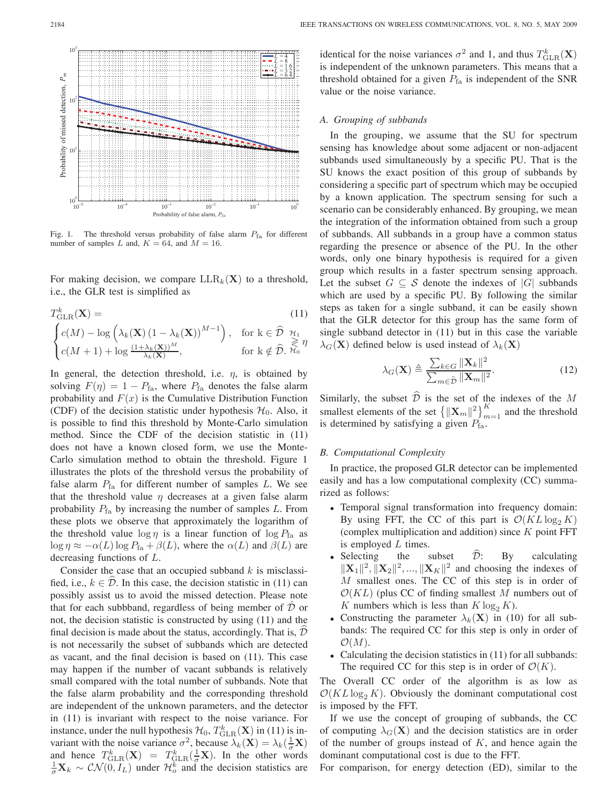

Fig. 1. The threshold versus probability of false alarm  $P_{fa}$  for different number of samples *L* and,  $K = 64$ , and  $M = 16$ .

For making decision, we compare  $LLR_k(X)$  to a threshold, i.e., the GLR test is simplified as

$$
T_{\text{GLR}}^{k}(\mathbf{X}) = \qquad (11)
$$
  
\n
$$
\begin{cases}\nc(M) - \log \left(\lambda_{k}(\mathbf{X}) \left(1 - \lambda_{k}(\mathbf{X})\right)^{M-1}\right), & \text{for } k \in \hat{\mathcal{D}} \ \mathcal{H}_{1} \\
c(M+1) + \log \frac{(1 + \lambda_{k}(\mathbf{X}))^{M}}{\lambda_{k}(\mathbf{X})}, & \text{for } k \notin \hat{\mathcal{D}}, \ \mathcal{H}_{0}\n\end{cases}
$$

In general, the detection threshold, i.e.  $\eta$ , is obtained by solving  $F(\eta)=1 - P_{fa}$ , where  $P_{fa}$  denotes the false alarm probability and  $F(x)$  is the Cumulative Distribution Function (CDF) of the decision statistic under hypothesis  $\mathcal{H}_0$ . Also, it is possible to find this threshold by Monte-Carlo simulation method. Since the CDF of the decision statistic in (11) does not have a known closed form, we use the Monte-Carlo simulation method to obtain the threshold. Figure 1 illustrates the plots of the threshold versus the probability of false alarm  $P_{fa}$  for different number of samples  $L$ . We see that the threshold value  $\eta$  decreases at a given false alarm probability  $P_{fa}$  by increasing the number of samples L. From these plots we observe that approximately the logarithm of the threshold value  $\log \eta$  is a linear function of  $\log P_{\text{fa}}$  as  $\log \eta \approx -\alpha(L) \log P_{\text{fa}} + \beta(L)$ , where the  $\alpha(L)$  and  $\beta(L)$  are decreasing functions of L.

Consider the case that an occupied subband  $k$  is misclassified, i.e.,  $k \in \mathcal{D}$ . In this case, the decision statistic in (11) can possibly assist us to avoid the missed detection. Please note that for each subbband, regardless of being member of  $D$  or not, the decision statistic is constructed by using (11) and the final decision is made about the status, accordingly. That is,  $D$ is not necessarily the subset of subbands which are detected as vacant, and the final decision is based on (11). This case may happen if the number of vacant subbands is relatively small compared with the total number of subbands. Note that the false alarm probability and the corresponding threshold are independent of the unknown parameters, and the detector in (11) is invariant with respect to the noise variance. For instance, under the null hypothesis  $\mathcal{H}_0$ ,  $T_{\text{GLR}}^k(\mathbf{X})$  in (11) is invariant with the noise variance  $\sigma^2$ , because  $\lambda_k(\mathbf{X}) = \lambda_k(\frac{1}{\sigma}\mathbf{X})$ and hence  $T_{\text{GLR}}^k(\mathbf{X}) = T_{\text{GLR}}^k(\frac{1}{\sigma}\mathbf{X})$ . In the other words  $\frac{1}{\sigma}\mathbf{X}_k \sim \mathcal{CN}(0, I_L)$  under  $\mathcal{H}_o^k$  and the decision statistics are

identical for the noise variances  $\sigma^2$  and 1, and thus  $T_{\text{GLR}}^k(\mathbf{X})$ is independent of the unknown parameters. This means that a threshold obtained for a given  $P_{fa}$  is independent of the SNR value or the noise variance.

## *A. Grouping of subbands*

In the grouping, we assume that the SU for spectrum sensing has knowledge about some adjacent or non-adjacent subbands used simultaneously by a specific PU. That is the SU knows the exact position of this group of subbands by considering a specific part of spectrum which may be occupied by a known application. The spectrum sensing for such a scenario can be considerably enhanced. By grouping, we mean the integration of the information obtained from such a group of subbands. All subbands in a group have a common status regarding the presence or absence of the PU. In the other words, only one binary hypothesis is required for a given group which results in a faster spectrum sensing approach. Let the subset  $G \subseteq S$  denote the indexes of  $|G|$  subbands which are used by a specific PU. By following the similar steps as taken for a single subband, it can be easily shown that the GLR detector for this group has the same form of single subband detector in (11) but in this case the variable  $\lambda_G(\mathbf{X})$  defined below is used instead of  $\lambda_k(\mathbf{X})$ 

$$
\lambda_G(\mathbf{X}) \triangleq \frac{\sum_{k \in G} \|\mathbf{X}_k\|^2}{\sum_{m \in \hat{\mathcal{D}}} \|\mathbf{X}_m\|^2}.
$$
 (12)

Similarly, the subset  $\widehat{\mathcal{D}}$  is the set of the indexes of the M smallest elements of the set  $\{||\mathbf{X}_m||^2\}_{m=1}^K$  and the threshold is determined by satisfying a given  $P_{\text{fa}}$ .

#### *B. Computational Complexity*

In practice, the proposed GLR detector can be implemented easily and has a low computational complexity (CC) summarized as follows:

- Temporal signal transformation into frequency domain: By using FFT, the CC of this part is  $\mathcal{O}(KL \log_2 K)$ (complex multiplication and addition) since  $K$  point FFT is employed L times.
- Selecting the subset  $D$ : By calculating  $\|\mathbf{X}_1\|^2$ ,  $\|\mathbf{X}_2\|^2$ , ...,  $\|\mathbf{X}_K\|^2$  and choosing the indexes of M smallest ones. The CC of this step is in order of  $\mathcal{O}(KL)$  (plus CC of finding smallest M numbers out of K numbers which is less than  $K \log_2 K$ ).
- Constructing the parameter  $\lambda_k(\mathbf{X})$  in (10) for all subbands: The required CC for this step is only in order of  $\mathcal{O}(M)$ .
- Calculating the decision statistics in (11) for all subbands: The required CC for this step is in order of  $\mathcal{O}(K)$ .

The Overall CC order of the algorithm is as low as  $\mathcal{O}(KL \log_2 K)$ . Obviously the dominant computational cost is imposed by the FFT.

If we use the concept of grouping of subbands, the CC of computing  $\lambda_G(X)$  and the decision statistics are in order of the number of groups instead of  $K$ , and hence again the dominant computational cost is due to the FFT.

For comparison, for energy detection (ED), similar to the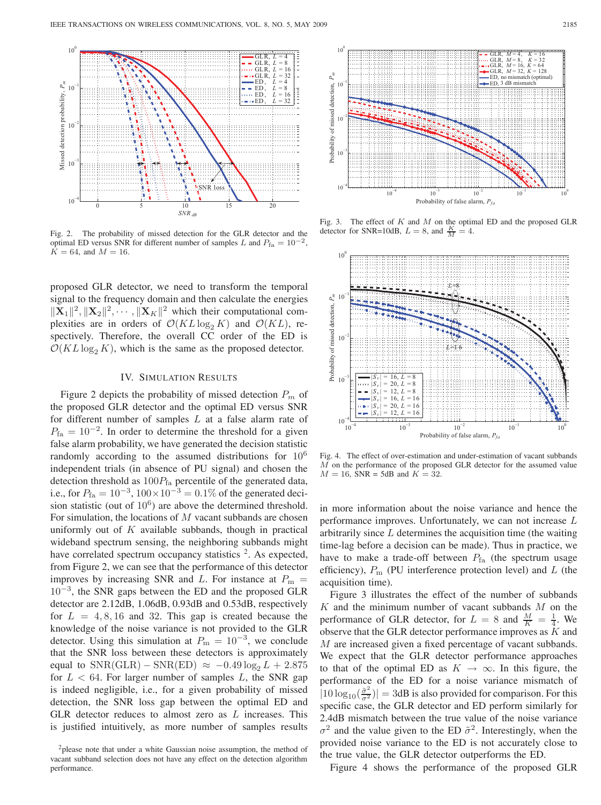

Fig. 2. The probability of missed detection for the GLR detector and the optimal ED versus SNR for different number of samples *L* and  $P_{\text{fa}} = 10^{-2}$ ,  $\hat{K} = 64$ , and  $M = 16$ .

proposed GLR detector, we need to transform the temporal signal to the frequency domain and then calculate the energies  $\|\mathbf{X}_1\|^2, \|\mathbf{X}_2\|^2, \cdots, \|\mathbf{X}_K\|^2$  which their computational complexities are in orders of  $\mathcal{O}(KL \log_2 K)$  and  $\mathcal{O}(KL)$ , respectively. Therefore, the overall CC order of the ED is  $\mathcal{O}(KL \log_2 K)$ , which is the same as the proposed detector.

#### IV. SIMULATION RESULTS

Figure 2 depicts the probability of missed detection  $P_m$  of the proposed GLR detector and the optimal ED versus SNR for different number of samples  $L$  at a false alarm rate of  $P_{\text{fa}} = 10^{-2}$ . In order to determine the threshold for a given false alarm probability, we have generated the decision statistic randomly according to the assumed distributions for  $10^6$ independent trials (in absence of PU signal) and chosen the detection threshold as  $100P_{\text{fa}}$  percentile of the generated data, i.e., for  $P_{\text{fa}} = 10^{-3}$ ,  $100 \times 10^{-3} = 0.1\%$  of the generated decision statistic (out of  $10<sup>6</sup>$ ) are above the determined threshold. For simulation, the locations of  $M$  vacant subbands are chosen uniformly out of  $K$  available subbands, though in practical wideband spectrum sensing, the neighboring subbands might have correlated spectrum occupancy statistics  $2$ . As expected, from Figure 2, we can see that the performance of this detector improves by increasing SNR and L. For instance at  $P_m =$  $10^{-3}$ , the SNR gaps between the ED and the proposed GLR detector are 2.12dB, 1.06dB, 0.93dB and 0.53dB, respectively for  $L = 4, 8, 16$  and 32. This gap is created because the knowledge of the noise variance is not provided to the GLR detector. Using this simulation at  $P_m = 10^{-3}$ , we conclude that the SNR loss between these detectors is approximately equal to  $SNR(GLR) - SNR(ED) \approx -0.49 \log_2 L + 2.875$ for  $L < 64$ . For larger number of samples L, the SNR gap is indeed negligible, i.e., for a given probability of missed detection, the SNR loss gap between the optimal ED and GLR detector reduces to almost zero as  $L$  increases. This is justified intuitively, as more number of samples results



Fig. 3. The effect of *K* and *M* on the optimal ED and the proposed GLR detector for SNR=10dB,  $L = 8$ , and  $\frac{K}{M} = 4$ .



Fig. 4. The effect of over-estimation and under-estimation of vacant subbands *M* on the performance of the proposed GLR detector for the assumed value  $M = 16$ , SNR = 5dB and  $K = 32$ .

in more information about the noise variance and hence the performance improves. Unfortunately, we can not increase L arbitrarily since  $L$  determines the acquisition time (the waiting time-lag before a decision can be made). Thus in practice, we have to make a trade-off between  $P<sub>fa</sub>$  (the spectrum usage efficiency),  $P_{\text{m}}$  (PU interference protection level) and  $L$  (the acquisition time).

Figure 3 illustrates the effect of the number of subbands  $K$  and the minimum number of vacant subbands  $M$  on the performance of GLR detector, for  $L = 8$  and  $\frac{M}{K} = \frac{1}{4}$ . We observe that the GLR detector performance improves as  $K$  and M are increased given a fixed percentage of vacant subbands. We expect that the GLR detector performance approaches to that of the optimal ED as  $K \to \infty$ . In this figure, the performance of the ED for a noise variance mismatch of  $|10 \log_{10}(\frac{\tilde{\sigma}^2}{\sigma^2})| = 3$ dB is also provided for comparison. For this specific case, the GLR detector and ED perform similarly for 2.4dB mismatch between the true value of the noise variance  $\sigma^2$  and the value given to the ED  $\tilde{\sigma}^2$ . Interestingly, when the provided noise variance to the ED is not accurately close to the true value, the GLR detector outperforms the ED.

Figure 4 shows the performance of the proposed GLR

<sup>&</sup>lt;sup>2</sup>please note that under a white Gaussian noise assumption, the method of vacant subband selection does not have any effect on the detection algorithm performance.